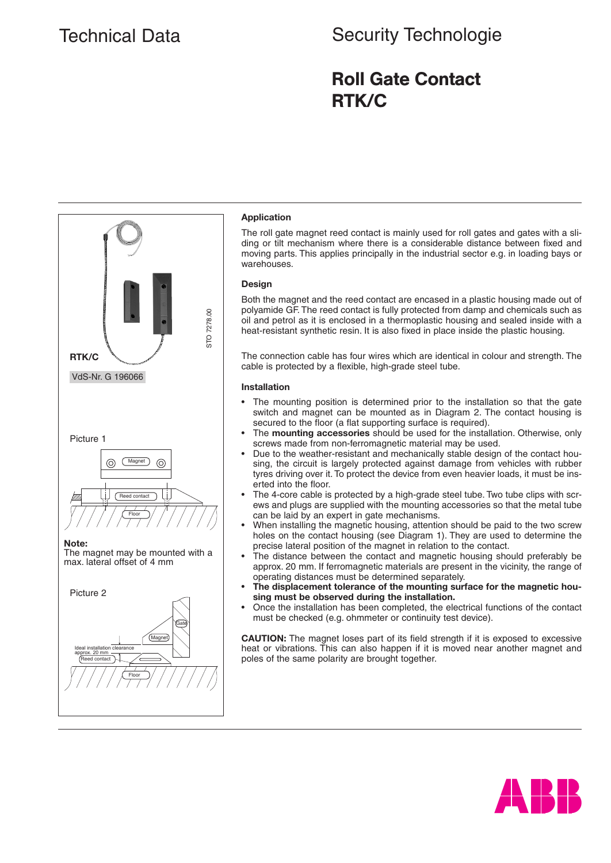# Technical Data **Security Technologie** Security Technologie

## Roll Gate Contact RTK/C



#### **Application**

The roll gate magnet reed contact is mainly used for roll gates and gates with a sliding or tilt mechanism where there is a considerable distance between fixed and moving parts. This applies principally in the industrial sector e.g. in loading bays or warehouses.

### **Design**

Both the magnet and the reed contact are encased in a plastic housing made out of polyamide GF. The reed contact is fully protected from damp and chemicals such as oil and petrol as it is enclosed in a thermoplastic housing and sealed inside with a heat-resistant synthetic resin. It is also fixed in place inside the plastic housing.

The connection cable has four wires which are identical in colour and strength. The cable is protected by a flexible, high-grade steel tube.

#### **Installation**

- The mounting position is determined prior to the installation so that the gate switch and magnet can be mounted as in Diagram 2. The contact housing is secured to the floor (a flat supporting surface is required).
- The **mounting accessories** should be used for the installation. Otherwise, only screws made from non-ferromagnetic material may be used.
- Due to the weather-resistant and mechanically stable design of the contact housing, the circuit is largely protected against damage from vehicles with rubber tyres driving over it. To protect the device from even heavier loads, it must be inserted into the floor.
- The 4-core cable is protected by a high-grade steel tube. Two tube clips with screws and plugs are supplied with the mounting accessories so that the metal tube can be laid by an expert in gate mechanisms.
- When installing the magnetic housing, attention should be paid to the two screw holes on the contact housing (see Diagram 1). They are used to determine the precise lateral position of the magnet in relation to the contact.
- The distance between the contact and magnetic housing should preferably be approx. 20 mm. If ferromagnetic materials are present in the vicinity, the range of operating distances must be determined separately.
- The displacement tolerance of the mounting surface for the magnetic hou**sing must be observed during the installation.**
- Once the installation has been completed, the electrical functions of the contact must be checked (e.g. ohmmeter or continuity test device).

**CAUTION:** The magnet loses part of its field strength if it is exposed to excessive heat or vibrations. This can also happen if it is moved near another magnet and poles of the same polarity are brought together.